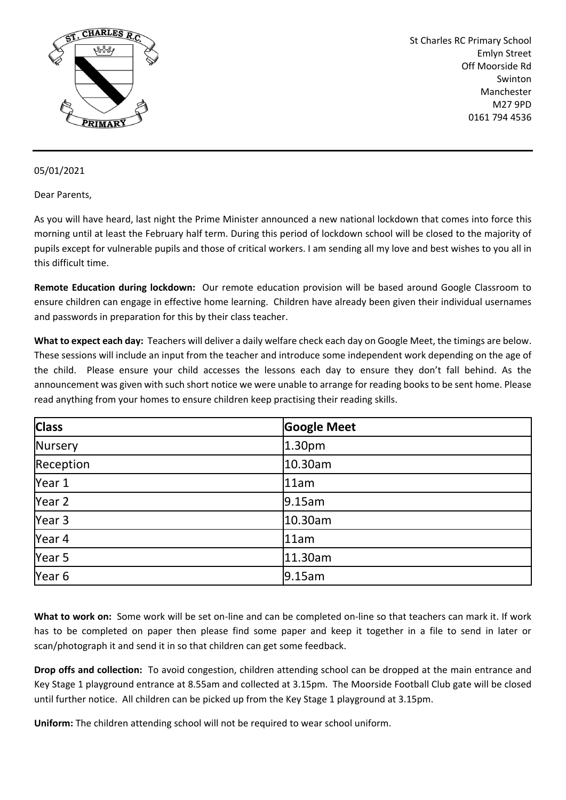

St Charles RC Primary School Emlyn Street Off Moorside Rd Swinton Manchester M27 9PD 0161 794 4536

## 05/01/2021

Dear Parents,

As you will have heard, last night the Prime Minister announced a new national lockdown that comes into force this morning until at least the February half term. During this period of lockdown school will be closed to the majority of pupils except for vulnerable pupils and those of critical workers. I am sending all my love and best wishes to you all in this difficult time.

**Remote Education during lockdown:** Our remote education provision will be based around Google Classroom to ensure children can engage in effective home learning. Children have already been given their individual usernames and passwords in preparation for this by their class teacher.

**What to expect each day:** Teachers will deliver a daily welfare check each day on Google Meet, the timings are below. These sessions will include an input from the teacher and introduce some independent work depending on the age of the child. Please ensure your child accesses the lessons each day to ensure they don't fall behind. As the announcement was given with such short notice we were unable to arrange for reading books to be sent home. Please read anything from your homes to ensure children keep practising their reading skills.

| <b>Class</b> | <b>Google Meet</b> |
|--------------|--------------------|
| Nursery      | 1.30pm             |
| Reception    | 10.30am            |
| Year 1       | 11am               |
| Year 2       | 9.15am             |
| Year 3       | 10.30am            |
| Year 4       | 11am               |
| Year 5       | 11.30am            |
| Year 6       | 9.15am             |

**What to work on:** Some work will be set on-line and can be completed on-line so that teachers can mark it. If work has to be completed on paper then please find some paper and keep it together in a file to send in later or scan/photograph it and send it in so that children can get some feedback.

**Drop offs and collection:** To avoid congestion, children attending school can be dropped at the main entrance and Key Stage 1 playground entrance at 8.55am and collected at 3.15pm. The Moorside Football Club gate will be closed until further notice. All children can be picked up from the Key Stage 1 playground at 3.15pm.

**Uniform:** The children attending school will not be required to wear school uniform.